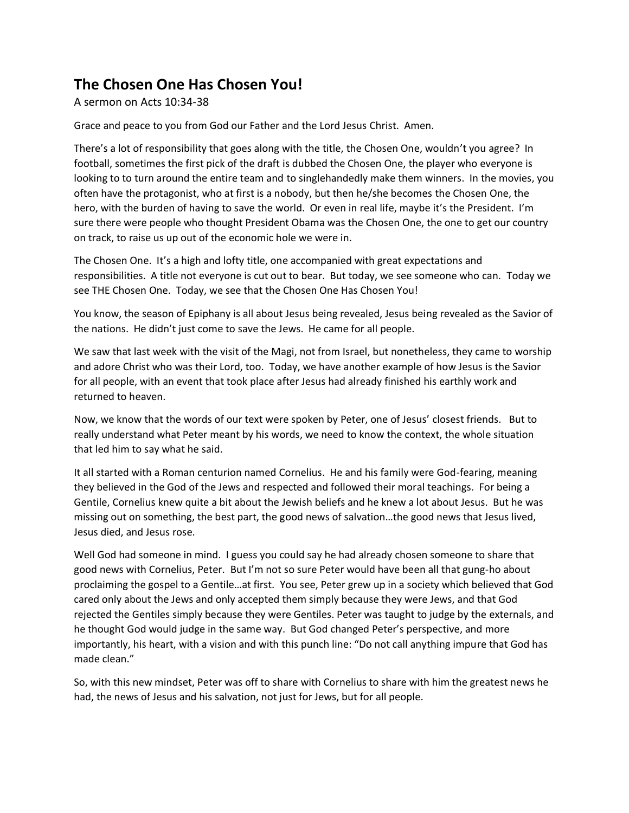## **The Chosen One Has Chosen You!**

A sermon on Acts 10:34-38

Grace and peace to you from God our Father and the Lord Jesus Christ. Amen.

There's a lot of responsibility that goes along with the title, the Chosen One, wouldn't you agree? In football, sometimes the first pick of the draft is dubbed the Chosen One, the player who everyone is looking to to turn around the entire team and to singlehandedly make them winners. In the movies, you often have the protagonist, who at first is a nobody, but then he/she becomes the Chosen One, the hero, with the burden of having to save the world. Or even in real life, maybe it's the President. I'm sure there were people who thought President Obama was the Chosen One, the one to get our country on track, to raise us up out of the economic hole we were in.

The Chosen One. It's a high and lofty title, one accompanied with great expectations and responsibilities. A title not everyone is cut out to bear. But today, we see someone who can. Today we see THE Chosen One. Today, we see that the Chosen One Has Chosen You!

You know, the season of Epiphany is all about Jesus being revealed, Jesus being revealed as the Savior of the nations. He didn't just come to save the Jews. He came for all people.

We saw that last week with the visit of the Magi, not from Israel, but nonetheless, they came to worship and adore Christ who was their Lord, too. Today, we have another example of how Jesus is the Savior for all people, with an event that took place after Jesus had already finished his earthly work and returned to heaven.

Now, we know that the words of our text were spoken by Peter, one of Jesus' closest friends. But to really understand what Peter meant by his words, we need to know the context, the whole situation that led him to say what he said.

It all started with a Roman centurion named Cornelius. He and his family were God-fearing, meaning they believed in the God of the Jews and respected and followed their moral teachings. For being a Gentile, Cornelius knew quite a bit about the Jewish beliefs and he knew a lot about Jesus. But he was missing out on something, the best part, the good news of salvation…the good news that Jesus lived, Jesus died, and Jesus rose.

Well God had someone in mind. I guess you could say he had already chosen someone to share that good news with Cornelius, Peter. But I'm not so sure Peter would have been all that gung-ho about proclaiming the gospel to a Gentile…at first. You see, Peter grew up in a society which believed that God cared only about the Jews and only accepted them simply because they were Jews, and that God rejected the Gentiles simply because they were Gentiles. Peter was taught to judge by the externals, and he thought God would judge in the same way. But God changed Peter's perspective, and more importantly, his heart, with a vision and with this punch line: "Do not call anything impure that God has made clean."

So, with this new mindset, Peter was off to share with Cornelius to share with him the greatest news he had, the news of Jesus and his salvation, not just for Jews, but for all people.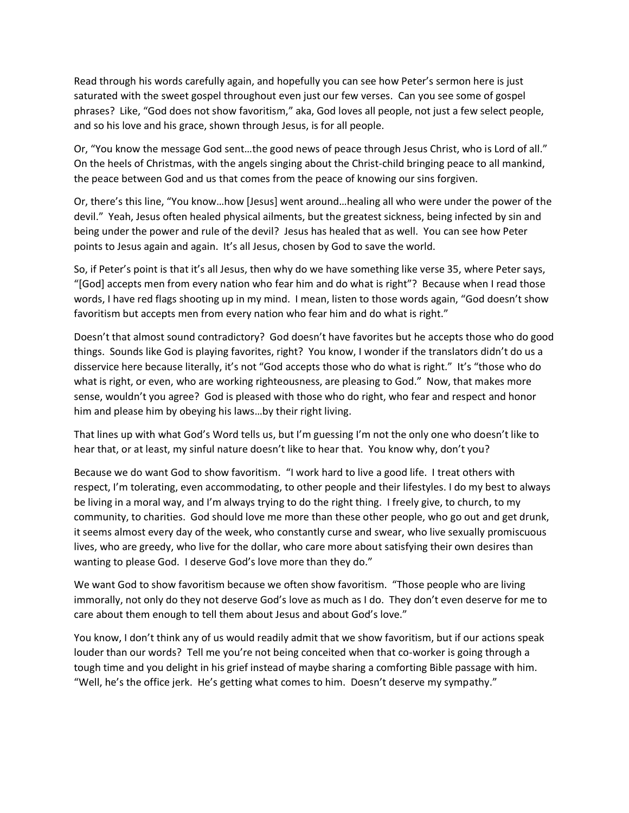Read through his words carefully again, and hopefully you can see how Peter's sermon here is just saturated with the sweet gospel throughout even just our few verses. Can you see some of gospel phrases? Like, "God does not show favoritism," aka, God loves all people, not just a few select people, and so his love and his grace, shown through Jesus, is for all people.

Or, "You know the message God sent…the good news of peace through Jesus Christ, who is Lord of all." On the heels of Christmas, with the angels singing about the Christ-child bringing peace to all mankind, the peace between God and us that comes from the peace of knowing our sins forgiven.

Or, there's this line, "You know…how [Jesus] went around…healing all who were under the power of the devil." Yeah, Jesus often healed physical ailments, but the greatest sickness, being infected by sin and being under the power and rule of the devil? Jesus has healed that as well. You can see how Peter points to Jesus again and again. It's all Jesus, chosen by God to save the world.

So, if Peter's point is that it's all Jesus, then why do we have something like verse 35, where Peter says, "[God] accepts men from every nation who fear him and do what is right"? Because when I read those words, I have red flags shooting up in my mind. I mean, listen to those words again, "God doesn't show favoritism but accepts men from every nation who fear him and do what is right."

Doesn't that almost sound contradictory? God doesn't have favorites but he accepts those who do good things. Sounds like God is playing favorites, right? You know, I wonder if the translators didn't do us a disservice here because literally, it's not "God accepts those who do what is right." It's "those who do what is right, or even, who are working righteousness, are pleasing to God." Now, that makes more sense, wouldn't you agree? God is pleased with those who do right, who fear and respect and honor him and please him by obeying his laws…by their right living.

That lines up with what God's Word tells us, but I'm guessing I'm not the only one who doesn't like to hear that, or at least, my sinful nature doesn't like to hear that. You know why, don't you?

Because we do want God to show favoritism. "I work hard to live a good life. I treat others with respect, I'm tolerating, even accommodating, to other people and their lifestyles. I do my best to always be living in a moral way, and I'm always trying to do the right thing. I freely give, to church, to my community, to charities. God should love me more than these other people, who go out and get drunk, it seems almost every day of the week, who constantly curse and swear, who live sexually promiscuous lives, who are greedy, who live for the dollar, who care more about satisfying their own desires than wanting to please God. I deserve God's love more than they do."

We want God to show favoritism because we often show favoritism. "Those people who are living immorally, not only do they not deserve God's love as much as I do. They don't even deserve for me to care about them enough to tell them about Jesus and about God's love."

You know, I don't think any of us would readily admit that we show favoritism, but if our actions speak louder than our words? Tell me you're not being conceited when that co-worker is going through a tough time and you delight in his grief instead of maybe sharing a comforting Bible passage with him. "Well, he's the office jerk. He's getting what comes to him. Doesn't deserve my sympathy."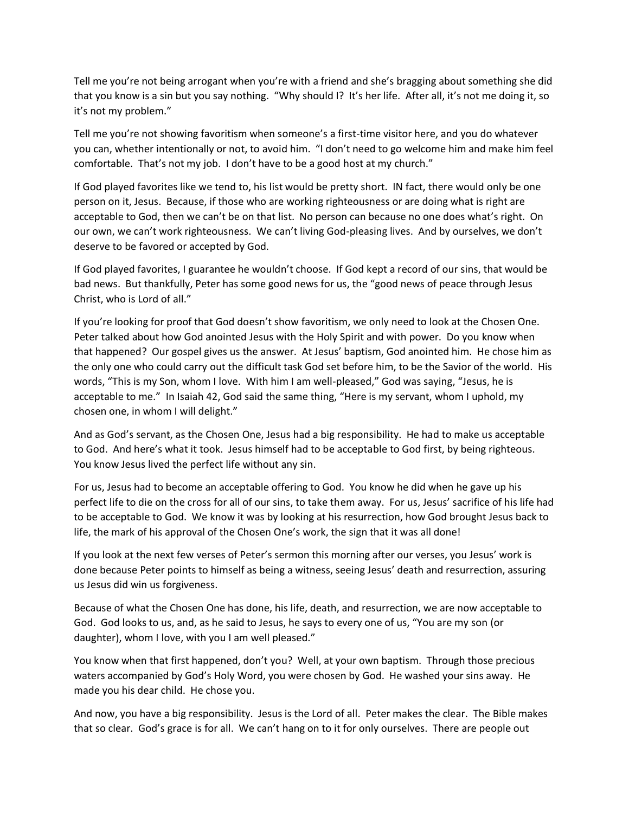Tell me you're not being arrogant when you're with a friend and she's bragging about something she did that you know is a sin but you say nothing. "Why should I? It's her life. After all, it's not me doing it, so it's not my problem."

Tell me you're not showing favoritism when someone's a first-time visitor here, and you do whatever you can, whether intentionally or not, to avoid him. "I don't need to go welcome him and make him feel comfortable. That's not my job. I don't have to be a good host at my church."

If God played favorites like we tend to, his list would be pretty short. IN fact, there would only be one person on it, Jesus. Because, if those who are working righteousness or are doing what is right are acceptable to God, then we can't be on that list. No person can because no one does what's right. On our own, we can't work righteousness. We can't living God-pleasing lives. And by ourselves, we don't deserve to be favored or accepted by God.

If God played favorites, I guarantee he wouldn't choose. If God kept a record of our sins, that would be bad news. But thankfully, Peter has some good news for us, the "good news of peace through Jesus Christ, who is Lord of all."

If you're looking for proof that God doesn't show favoritism, we only need to look at the Chosen One. Peter talked about how God anointed Jesus with the Holy Spirit and with power. Do you know when that happened? Our gospel gives us the answer. At Jesus' baptism, God anointed him. He chose him as the only one who could carry out the difficult task God set before him, to be the Savior of the world. His words, "This is my Son, whom I love. With him I am well-pleased," God was saying, "Jesus, he is acceptable to me." In Isaiah 42, God said the same thing, "Here is my servant, whom I uphold, my chosen one, in whom I will delight."

And as God's servant, as the Chosen One, Jesus had a big responsibility. He had to make us acceptable to God. And here's what it took. Jesus himself had to be acceptable to God first, by being righteous. You know Jesus lived the perfect life without any sin.

For us, Jesus had to become an acceptable offering to God. You know he did when he gave up his perfect life to die on the cross for all of our sins, to take them away. For us, Jesus' sacrifice of his life had to be acceptable to God. We know it was by looking at his resurrection, how God brought Jesus back to life, the mark of his approval of the Chosen One's work, the sign that it was all done!

If you look at the next few verses of Peter's sermon this morning after our verses, you Jesus' work is done because Peter points to himself as being a witness, seeing Jesus' death and resurrection, assuring us Jesus did win us forgiveness.

Because of what the Chosen One has done, his life, death, and resurrection, we are now acceptable to God. God looks to us, and, as he said to Jesus, he says to every one of us, "You are my son (or daughter), whom I love, with you I am well pleased."

You know when that first happened, don't you? Well, at your own baptism. Through those precious waters accompanied by God's Holy Word, you were chosen by God. He washed your sins away. He made you his dear child. He chose you.

And now, you have a big responsibility. Jesus is the Lord of all. Peter makes the clear. The Bible makes that so clear. God's grace is for all. We can't hang on to it for only ourselves. There are people out